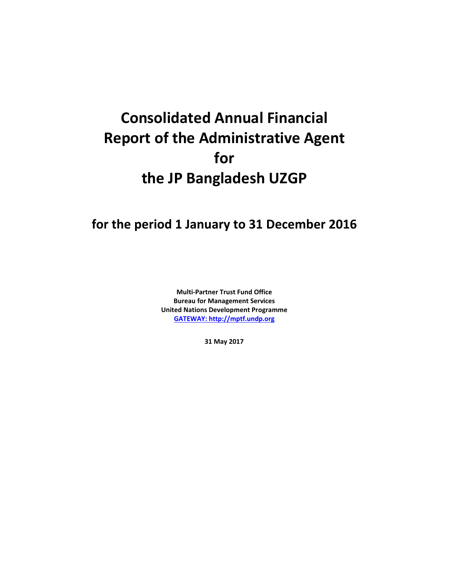# **Consolidated Annual Financial Report of the Administrative Agent for the JP Bangladesh UZGP**

# **for the period 1 January to 31 December 2016**

**Multi-Partner Trust Fund Office Bureau for Management Services United Nations Development Programme [GATEWAY: http://mptf.undp.org](http://mptf.undp.org/)**

**31 May 2017**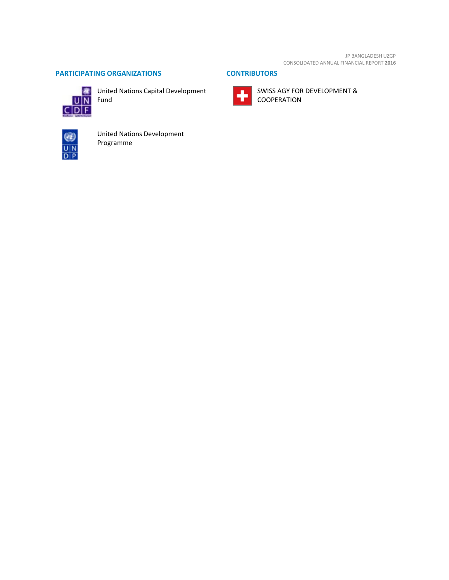JP BANGLADESH UZGP CONSOLIDATED ANNUAL FINANCIAL REPORT **2016**

# **PARTICIPATING ORGANIZATIONS CONTRIBUTORS**



United Nations Capital Development Fund





SWISS AGY FOR DEVELOPMENT & COOPERATION



United Nations Development Programme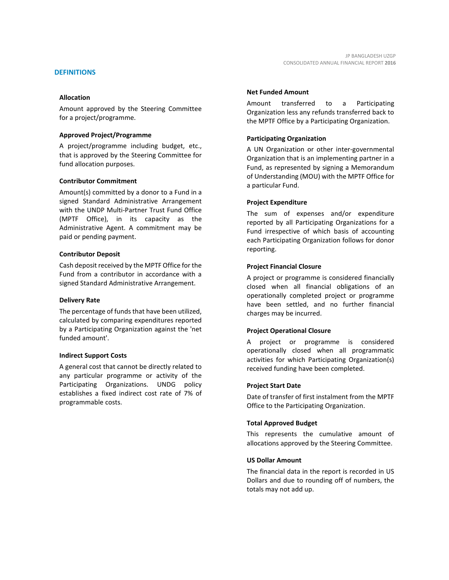Amount approved by the Steering Committee for a project/programme.

#### **Approved Project/Programme**

A project/programme including budget, etc., that is approved by the Steering Committee for fund allocation purposes.

#### **Contributor Commitment**

Amount(s) committed by a donor to a Fund in a signed Standard Administrative Arrangement with the UNDP Multi-Partner Trust Fund Office (MPTF Office), in its capacity as the Administrative Agent. A commitment may be paid or pending payment.

#### **Contributor Deposit**

Cash deposit received by the MPTF Office for the Fund from a contributor in accordance with a signed Standard Administrative Arrangement.

#### **Delivery Rate**

The percentage of funds that have been utilized, calculated by comparing expenditures reported by a Participating Organization against the 'net funded amount'.

#### **Indirect Support Costs**

A general cost that cannot be directly related to any particular programme or activity of the Participating Organizations. UNDG policy establishes a fixed indirect cost rate of 7% of programmable costs.

JP BANGLADESH UZGP

#### **Net Funded Amount**

Amount transferred to a Participating Organization less any refunds transferred back to the MPTF Office by a Participating Organization.

#### **Participating Organization**

A UN Organization or other inter-governmental Organization that is an implementing partner in a Fund, as represented by signing a Memorandum of Understanding (MOU) with the MPTF Office for a particular Fund.

#### **Project Expenditure**

The sum of expenses and/or expenditure reported by all Participating Organizations for a Fund irrespective of which basis of accounting each Participating Organization follows for donor reporting.

#### **Project Financial Closure**

A project or programme is considered financially closed when all financial obligations of an operationally completed project or programme have been settled, and no further financial charges may be incurred.

#### **Project Operational Closure**

A project or programme is considered operationally closed when all programmatic activities for which Participating Organization(s) received funding have been completed.

#### **Project Start Date**

Date of transfer of first instalment from the MPTF Office to the Participating Organization.

#### **Total Approved Budget**

This represents the cumulative amount of allocations approved by the Steering Committee.

#### **US Dollar Amount**

The financial data in the report is recorded in US Dollars and due to rounding off of numbers, the totals may not add up.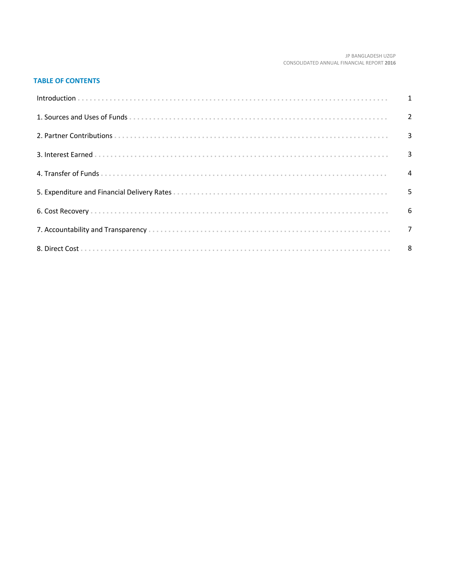#### JP BANGLADESH UZGP CONSOLIDATED ANNUAL FINANCIAL REPORT 2016

# **TABLE OF CONTENTS**

| Introduction 1 1 |   |
|------------------|---|
|                  |   |
|                  |   |
|                  |   |
|                  |   |
|                  | 5 |
|                  |   |
|                  |   |
|                  |   |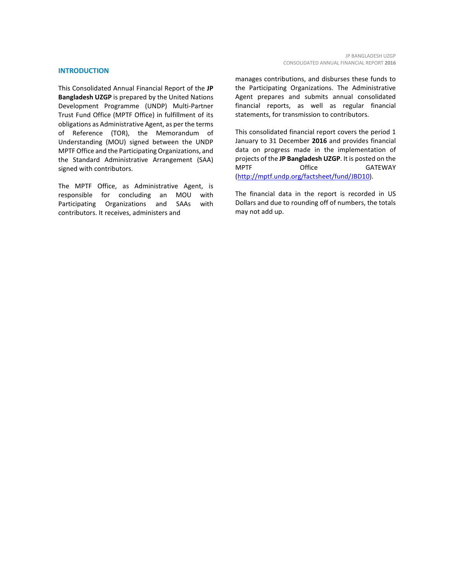#### **INTRODUCTION**

This Consolidated Annual Financial Report of the **JP Bangladesh UZGP** is prepared by the United Nations Development Programme (UNDP) Multi-Partner Trust Fund Office (MPTF Office) in fulfillment of its obligations as Administrative Agent, as per the terms of Reference (TOR), the Memorandum of Understanding (MOU) signed between the UNDP MPTF Office and the Participating Organizations, and the Standard Administrative Arrangement (SAA) signed with contributors.

The MPTF Office, as Administrative Agent, is responsible for concluding an MOU with Participating Organizations and SAAs with contributors. It receives, administers and

manages contributions, and disburses these funds to the Participating Organizations. The Administrative Agent prepares and submits annual consolidated financial reports, as well as regular financial statements, for transmission to contributors.

This consolidated financial report covers the period 1 January to 31 December **2016** and provides financial data on progress made in the implementation of projects of the **JP Bangladesh UZGP**. It is posted on the MPTF Office GATEWAY [\(http://mptf.undp.org/factsheet/fund/JBD10\)](http://mptf.undp.org/factsheet/fund/JBD10).

The financial data in the report is recorded in US Dollars and due to rounding off of numbers, the totals may not add up.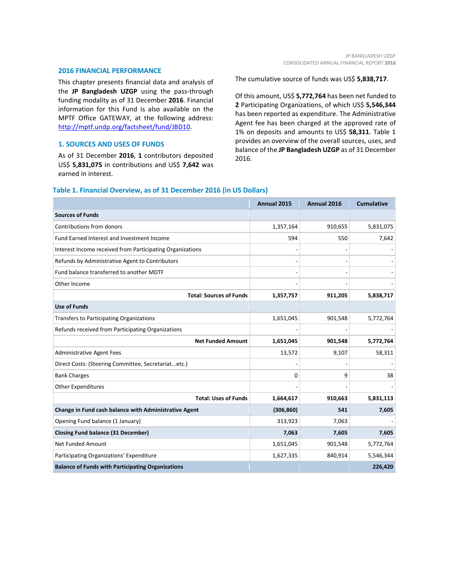#### **2016 FINANCIAL PERFORMANCE**

This chapter presents financial data and analysis of the **JP Bangladesh UZGP** using the pass-through funding modality as of 31 December **2016**. Financial information for this Fund is also available on the MPTF Office GATEWAY, at the following address: [http://mptf.undp.org/factsheet/fund/JBD10.](http://mptf.undp.org/factsheet/fund/JBD10) 

#### **1. SOURCES AND USES OF FUNDS**

As of 31 December **2016**, **1** contributors deposited US\$ **5,831,075** in contributions and US\$ **7,642** was earned in interest.

The cumulative source of funds was US\$ **5,838,717**.

Of this amount, US\$ **5,772,764** has been net funded to **2** Participating Organizations, of which US\$ **5,546,344** has been reported as expenditure. The Administrative Agent fee has been charged at the approved rate of 1% on deposits and amounts to US\$ **58,311**. Table 1 provides an overview of the overall sources, uses, and balance of the **JP Bangladesh UZGP** as of 31 December 2016.

#### **Table 1. Financial Overview, as of 31 December 2016 (in US Dollars)**

|                                                           | Annual 2015 | Annual 2016 | <b>Cumulative</b> |
|-----------------------------------------------------------|-------------|-------------|-------------------|
| <b>Sources of Funds</b>                                   |             |             |                   |
| Contributions from donors                                 | 1,357,164   | 910,655     | 5,831,075         |
| Fund Earned Interest and Investment Income                | 594         | 550         | 7,642             |
| Interest Income received from Participating Organizations |             |             |                   |
| Refunds by Administrative Agent to Contributors           |             |             |                   |
| Fund balance transferred to another MDTF                  |             |             |                   |
| Other Income                                              |             |             |                   |
| <b>Total: Sources of Funds</b>                            | 1,357,757   | 911,205     | 5,838,717         |
| <b>Use of Funds</b>                                       |             |             |                   |
| <b>Transfers to Participating Organizations</b>           | 1,651,045   | 901,548     | 5,772,764         |
| Refunds received from Participating Organizations         |             |             |                   |
| <b>Net Funded Amount</b>                                  | 1,651,045   | 901,548     | 5,772,764         |
| <b>Administrative Agent Fees</b>                          | 13,572      | 9,107       | 58,311            |
| Direct Costs: (Steering Committee, Secretariatetc.)       |             |             |                   |
| <b>Bank Charges</b>                                       | 0           | 9           | 38                |
| <b>Other Expenditures</b>                                 |             |             |                   |
| <b>Total: Uses of Funds</b>                               | 1,664,617   | 910,663     | 5,831,113         |
| Change in Fund cash balance with Administrative Agent     | (306, 860)  | 541         | 7,605             |
| Opening Fund balance (1 January)                          | 313,923     | 7,063       |                   |
| <b>Closing Fund balance (31 December)</b>                 | 7,063       | 7,605       | 7,605             |
| Net Funded Amount                                         | 1,651,045   | 901,548     | 5,772,764         |
| Participating Organizations' Expenditure                  | 1,627,335   | 840,914     | 5,546,344         |
| <b>Balance of Funds with Participating Organizations</b>  |             |             | 226,420           |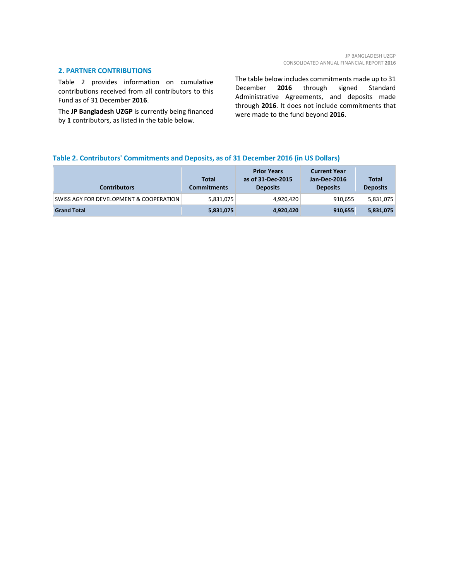#### **2. PARTNER CONTRIBUTIONS**

Table 2 provides information on cumulative contributions received from all contributors to this Fund as of 31 December **2016**.

The **JP Bangladesh UZGP** is currently being financed by **1** contributors, as listed in the table below.

The table below includes commitments made up to 31 December **2016** through signed Standard Administrative Agreements, and deposits made through **2016**. It does not include commitments that were made to the fund beyond **2016**.

## **Table 2. Contributors' Commitments and Deposits, as of 31 December 2016 (in US Dollars)**

| Contributors                            | Total<br><b>Commitments</b> | <b>Prior Years</b><br>as of 31-Dec-2015<br><b>Deposits</b> | <b>Current Year</b><br>Jan-Dec-2016<br><b>Deposits</b> | <b>Total</b><br><b>Deposits</b> |
|-----------------------------------------|-----------------------------|------------------------------------------------------------|--------------------------------------------------------|---------------------------------|
| SWISS AGY FOR DEVELOPMENT & COOPERATION | 5,831,075                   | 4,920,420                                                  | 910,655                                                | 5,831,075                       |
| <b>Grand Total</b>                      | 5,831,075                   | 4,920,420                                                  | 910,655                                                | 5,831,075                       |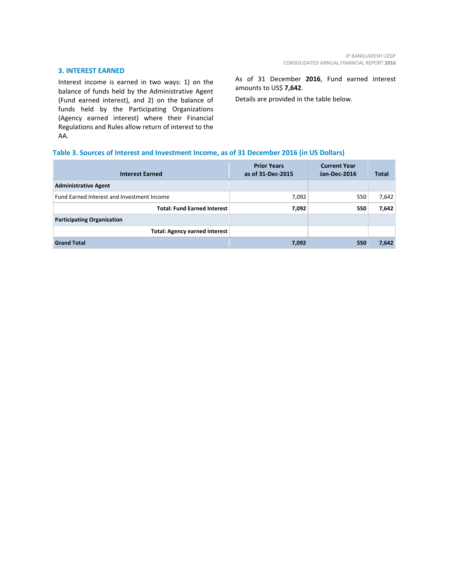#### **3. INTEREST EARNED**

Interest income is earned in two ways: 1) on the balance of funds held by the Administrative Agent (Fund earned interest), and 2) on the balance of funds held by the Participating Organizations (Agency earned interest) where their Financial Regulations and Rules allow return of interest to the AA.

As of 31 December **2016**, Fund earned interest amounts to US\$ **7,642**.

Details are provided in the table below.

# **Table 3. Sources of Interest and Investment Income, as of 31 December 2016 (in US Dollars)**

| <b>Interest Earned</b>                     | <b>Prior Years</b><br>as of 31-Dec-2015 | <b>Current Year</b><br><b>Jan-Dec-2016</b> | Total |
|--------------------------------------------|-----------------------------------------|--------------------------------------------|-------|
| <b>Administrative Agent</b>                |                                         |                                            |       |
| Fund Earned Interest and Investment Income | 7,092                                   | 550                                        | 7,642 |
| <b>Total: Fund Earned Interest</b>         | 7,092                                   | 550                                        | 7,642 |
| <b>Participating Organization</b>          |                                         |                                            |       |
| <b>Total: Agency earned interest</b>       |                                         |                                            |       |
| <b>Grand Total</b>                         | 7,092                                   | 550                                        | 7,642 |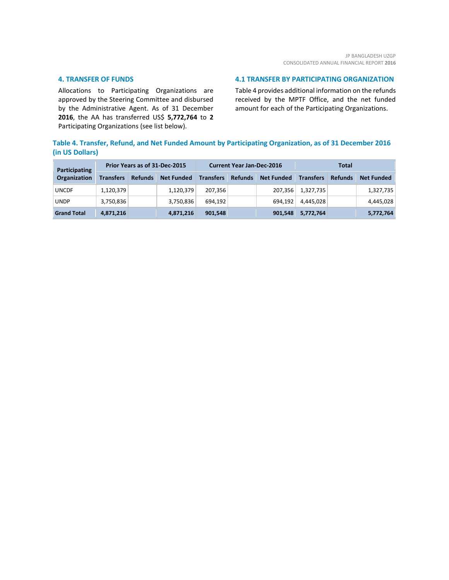#### **4. TRANSFER OF FUNDS**

Allocations to Participating Organizations are approved by the Steering Committee and disbursed by the Administrative Agent. As of 31 December **2016**, the AA has transferred US\$ **5,772,764** to **2** Participating Organizations (see list below).

#### **4.1 TRANSFER BY PARTICIPATING ORGANIZATION**

Table 4 provides additional information on the refunds received by the MPTF Office, and the net funded amount for each of the Participating Organizations.

# **Table 4. Transfer, Refund, and Net Funded Amount by Participating Organization, as of 31 December 2016 (in US Dollars)**

| <b>Participating</b> | Prior Years as of 31-Dec-2015 |                |                   | <b>Current Year Jan-Dec-2016</b> |                |                   | Total            |                |                   |
|----------------------|-------------------------------|----------------|-------------------|----------------------------------|----------------|-------------------|------------------|----------------|-------------------|
| Organization         | <b>Transfers</b>              | <b>Refunds</b> | <b>Net Funded</b> | <b>Transfers</b>                 | <b>Refunds</b> | <b>Net Funded</b> | <b>Transfers</b> | <b>Refunds</b> | <b>Net Funded</b> |
| <b>UNCDF</b>         | 1,120,379                     |                | 1,120,379         | 207.356                          |                | 207.356           | 1,327,735        |                | 1,327,735         |
| <b>UNDP</b>          | 3,750,836                     |                | 3,750,836         | 694.192                          |                | 694.192           | 4.445.028        |                | 4,445,028         |
| <b>Grand Total</b>   | 4,871,216                     |                | 4,871,216         | 901,548                          |                | 901,548           | 5,772,764        |                | 5,772,764         |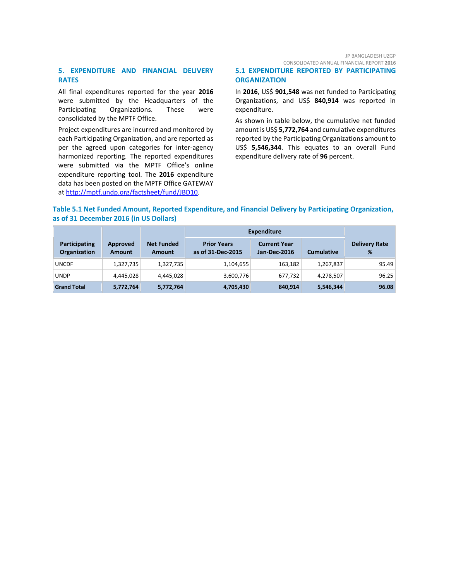## **5. EXPENDITURE AND FINANCIAL DELIVERY RATES**

All final expenditures reported for the year **2016** were submitted by the Headquarters of the Participating Organizations. These were consolidated by the MPTF Office.

Project expenditures are incurred and monitored by each Participating Organization, and are reported as per the agreed upon categories for inter-agency harmonized reporting. The reported expenditures were submitted via the MPTF Office's online expenditure reporting tool. The **2016** expenditure data has been posted on the MPTF Office GATEWAY at [http://mptf.undp.org/factsheet/fund/JBD10.](http://mptf.undp.org/factsheet/fund/JBD10)

#### JP BANGLADESH UZGP CONSOLIDATED ANNUAL FINANCIAL REPORT **2016**

**5.1 EXPENDITURE REPORTED BY PARTICIPATING ORGANIZATION**

In **2016**, US\$ **901,548** was net funded to Participating Organizations, and US\$ **840,914** was reported in expenditure.

As shown in table below, the cumulative net funded amount is US\$ **5,772,764** and cumulative expenditures reported by the Participating Organizations amount to US\$ **5,546,344**. This equates to an overall Fund expenditure delivery rate of **96** percent.

# **Table 5.1 Net Funded Amount, Reported Expenditure, and Financial Delivery by Participating Organization, as of 31 December 2016 (in US Dollars)**

|                                             |                    |                             | <b>Expenditure</b>                      |                                     |                   |                           |
|---------------------------------------------|--------------------|-----------------------------|-----------------------------------------|-------------------------------------|-------------------|---------------------------|
| <b>Participating</b><br><b>Organization</b> | Approved<br>Amount | <b>Net Funded</b><br>Amount | <b>Prior Years</b><br>as of 31-Dec-2015 | <b>Current Year</b><br>Jan-Dec-2016 | <b>Cumulative</b> | <b>Delivery Rate</b><br>% |
| <b>UNCDF</b>                                | 1,327,735          | 1,327,735                   | 1,104,655                               | 163,182                             | 1,267,837         | 95.49                     |
| <b>UNDP</b>                                 | 4,445,028          | 4.445.028                   | 3,600,776                               | 677,732                             | 4,278,507         | 96.25                     |
| <b>Grand Total</b>                          | 5,772,764          | 5,772,764                   | 4,705,430                               | 840,914                             | 5,546,344         | 96.08                     |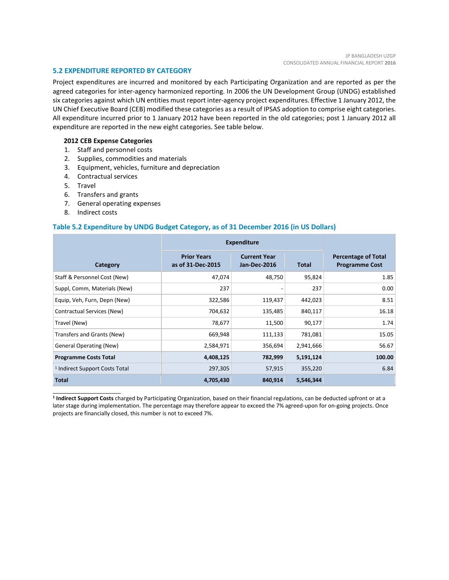#### **5.2 EXPENDITURE REPORTED BY CATEGORY**

Project expenditures are incurred and monitored by each Participating Organization and are reported as per the agreed categories for inter-agency harmonized reporting. In 2006 the UN Development Group (UNDG) established six categories against which UN entities must report inter-agency project expenditures. Effective 1 January 2012, the UN Chief Executive Board (CEB) modified these categories as a result of IPSAS adoption to comprise eight categories. All expenditure incurred prior to 1 January 2012 have been reported in the old categories; post 1 January 2012 all expenditure are reported in the new eight categories. See table below.

#### **2012 CEB Expense Categories**

- 1. Staff and personnel costs
- 2. Supplies, commodities and materials
- 3. Equipment, vehicles, furniture and depreciation
- 4. Contractual services
- 5. Travel
- 6. Transfers and grants
- 7. General operating expenses
- 8. Indirect costs

\_\_\_\_\_\_\_\_\_\_\_\_\_\_\_\_\_\_\_\_\_\_

#### **Table 5.2 Expenditure by UNDG Budget Category, as of 31 December 2016 (in US Dollars)**

|                                           | <b>Expenditure</b>                                                             |         |              |                                                     |
|-------------------------------------------|--------------------------------------------------------------------------------|---------|--------------|-----------------------------------------------------|
| Category                                  | <b>Prior Years</b><br><b>Current Year</b><br>as of 31-Dec-2015<br>Jan-Dec-2016 |         | <b>Total</b> | <b>Percentage of Total</b><br><b>Programme Cost</b> |
| Staff & Personnel Cost (New)              | 47,074                                                                         | 48,750  | 95,824       | 1.85                                                |
| Suppl, Comm, Materials (New)              | 237                                                                            |         | 237          | 0.00                                                |
| Equip, Veh, Furn, Depn (New)              | 322,586                                                                        | 119,437 | 442,023      | 8.51                                                |
| Contractual Services (New)                | 704,632                                                                        | 135,485 | 840,117      | 16.18                                               |
| Travel (New)                              | 78,677                                                                         | 11,500  | 90,177       | 1.74                                                |
| Transfers and Grants (New)                | 669,948                                                                        | 111,133 | 781,081      | 15.05                                               |
| <b>General Operating (New)</b>            | 2,584,971                                                                      | 356,694 | 2,941,666    | 56.67                                               |
| <b>Programme Costs Total</b>              | 4,408,125                                                                      | 782,999 | 5,191,124    | 100.00                                              |
| <sup>1</sup> Indirect Support Costs Total | 297,305                                                                        | 57,915  | 355,220      | 6.84                                                |
| <b>Total</b>                              | 4,705,430                                                                      | 840,914 | 5,546,344    |                                                     |

**<sup>1</sup> Indirect Support Costs** charged by Participating Organization, based on their financial regulations, can be deducted upfront or at a later stage during implementation. The percentage may therefore appear to exceed the 7% agreed-upon for on-going projects. Once projects are financially closed, this number is not to exceed 7%.